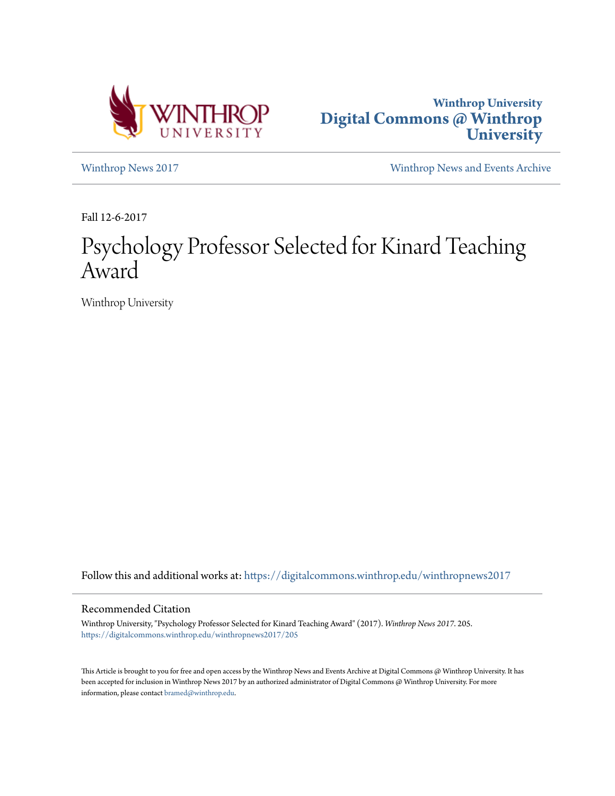



[Winthrop News 2017](https://digitalcommons.winthrop.edu/winthropnews2017?utm_source=digitalcommons.winthrop.edu%2Fwinthropnews2017%2F205&utm_medium=PDF&utm_campaign=PDFCoverPages) [Winthrop News and Events Archive](https://digitalcommons.winthrop.edu/winthropnewsarchives?utm_source=digitalcommons.winthrop.edu%2Fwinthropnews2017%2F205&utm_medium=PDF&utm_campaign=PDFCoverPages)

Fall 12-6-2017

## Psychology Professor Selected for Kinard Teaching Award

Winthrop University

Follow this and additional works at: [https://digitalcommons.winthrop.edu/winthropnews2017](https://digitalcommons.winthrop.edu/winthropnews2017?utm_source=digitalcommons.winthrop.edu%2Fwinthropnews2017%2F205&utm_medium=PDF&utm_campaign=PDFCoverPages)

## Recommended Citation

Winthrop University, "Psychology Professor Selected for Kinard Teaching Award" (2017). *Winthrop News 2017*. 205. [https://digitalcommons.winthrop.edu/winthropnews2017/205](https://digitalcommons.winthrop.edu/winthropnews2017/205?utm_source=digitalcommons.winthrop.edu%2Fwinthropnews2017%2F205&utm_medium=PDF&utm_campaign=PDFCoverPages)

This Article is brought to you for free and open access by the Winthrop News and Events Archive at Digital Commons @ Winthrop University. It has been accepted for inclusion in Winthrop News 2017 by an authorized administrator of Digital Commons @ Winthrop University. For more information, please contact [bramed@winthrop.edu](mailto:bramed@winthrop.edu).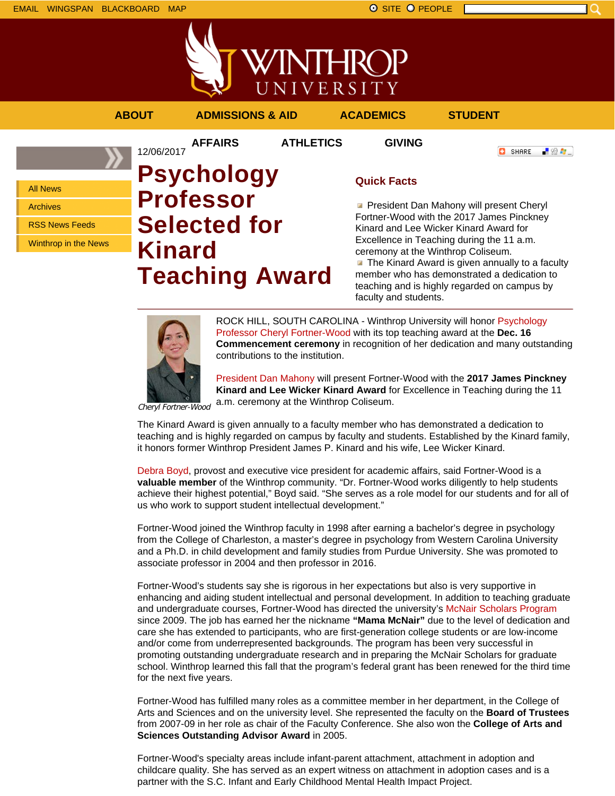



## **ABOUT ADMISSIONS & AID ACADEMICS STUDENT AFFAIRS ATHLETICS GIVING** 12/06/2017 **C** SHARE ■ 验考... **Psychology Quick Facts** All News **Professor President Dan Mahony will present Cheryl** Archives Fortner-Wood with the 2017 James Pinckney **Selected for** RSS News Feeds Kinard and Lee Wicker Kinard Award for Excellence in Teaching during the 11 a.m. Winthrop in the News **Kinard** ceremony at the Winthrop Coliseum. **The Kinard Award is given annually to a faculty Teaching Award** member who has demonstrated a dedication to teaching and is highly regarded on campus by



ROCK HILL, SOUTH CAROLINA - Winthrop University will honor Psychology Professor Cheryl Fortner-Wood with its top teaching award at the **Dec. 16 Commencement ceremony** in recognition of her dedication and many outstanding contributions to the institution.

faculty and students.

President Dan Mahony will present Fortner-Wood with the **2017 James Pinckney Kinard and Lee Wicker Kinard Award** for Excellence in Teaching during the 11 a.m. ceremony at the Winthrop Coliseum.

Cheryl Fortner-Wood

The Kinard Award is given annually to a faculty member who has demonstrated a dedication to teaching and is highly regarded on campus by faculty and students. Established by the Kinard family, it honors former Winthrop President James P. Kinard and his wife, Lee Wicker Kinard.

Debra Boyd, provost and executive vice president for academic affairs, said Fortner-Wood is a **valuable member** of the Winthrop community. "Dr. Fortner-Wood works diligently to help students achieve their highest potential," Boyd said. "She serves as a role model for our students and for all of us who work to support student intellectual development."

Fortner-Wood joined the Winthrop faculty in 1998 after earning a bachelor's degree in psychology from the College of Charleston, a master's degree in psychology from Western Carolina University and a Ph.D. in child development and family studies from Purdue University. She was promoted to associate professor in 2004 and then professor in 2016.

Fortner-Wood's students say she is rigorous in her expectations but also is very supportive in enhancing and aiding student intellectual and personal development. In addition to teaching graduate and undergraduate courses, Fortner-Wood has directed the university's McNair Scholars Program since 2009. The job has earned her the nickname **"Mama McNair"** due to the level of dedication and care she has extended to participants, who are first-generation college students or are low-income and/or come from underrepresented backgrounds. The program has been very successful in promoting outstanding undergraduate research and in preparing the McNair Scholars for graduate school. Winthrop learned this fall that the program's federal grant has been renewed for the third time for the next five years.

Fortner-Wood has fulfilled many roles as a committee member in her department, in the College of Arts and Sciences and on the university level. She represented the faculty on the **Board of Trustees** from 2007-09 in her role as chair of the Faculty Conference. She also won the **College of Arts and Sciences Outstanding Advisor Award** in 2005.

Fortner-Wood's specialty areas include infant-parent attachment, attachment in adoption and childcare quality. She has served as an expert witness on attachment in adoption cases and is a partner with the S.C. Infant and Early Childhood Mental Health Impact Project.